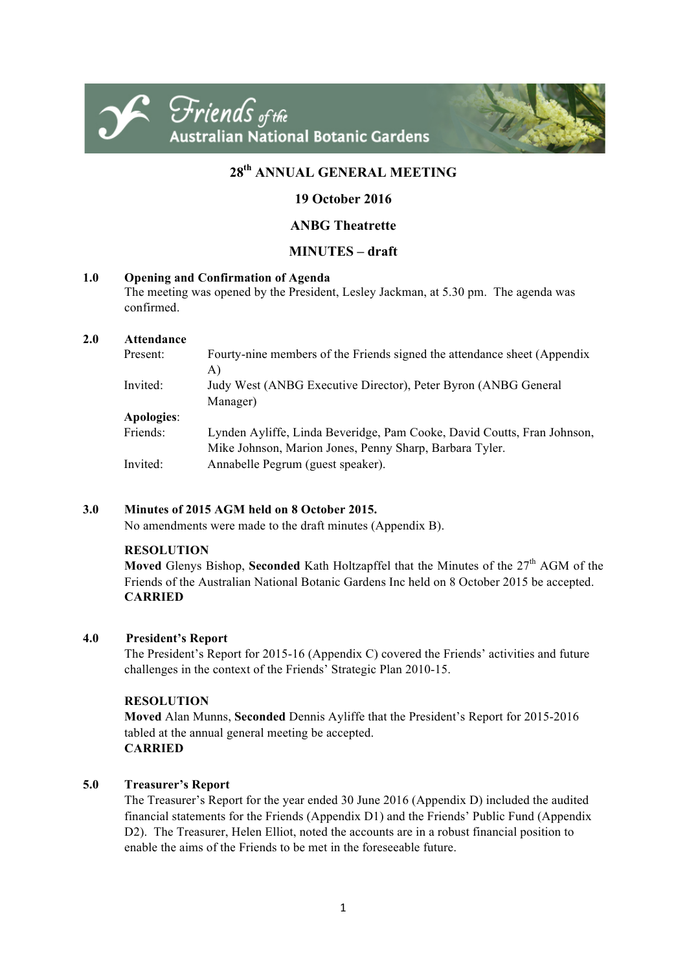



# **28th ANNUAL GENERAL MEETING**

# **19 October 2016**

# **ANBG Theatrette**

# **MINUTES – draft**

### **1.0 Opening and Confirmation of Agenda**

The meeting was opened by the President, Lesley Jackman, at 5.30 pm. The agenda was confirmed.

### **2.0 Attendance**

| Present:   | Fourty-nine members of the Friends signed the attendance sheet (Appendix                                                           |
|------------|------------------------------------------------------------------------------------------------------------------------------------|
| Invited:   | A)<br>Judy West (ANBG Executive Director), Peter Byron (ANBG General                                                               |
|            | Manager)                                                                                                                           |
| Apologies: |                                                                                                                                    |
| Friends:   | Lynden Ayliffe, Linda Beveridge, Pam Cooke, David Coutts, Fran Johnson,<br>Mike Johnson, Marion Jones, Penny Sharp, Barbara Tyler. |
| Invited:   | Annabelle Pegrum (guest speaker).                                                                                                  |

# **3.0 Minutes of 2015 AGM held on 8 October 2015.**

No amendments were made to the draft minutes (Appendix B).

#### **RESOLUTION**

**Moved** Glenys Bishop, **Seconded** Kath Holtzapffel that the Minutes of the  $27<sup>th</sup>$  AGM of the Friends of the Australian National Botanic Gardens Inc held on 8 October 2015 be accepted. **CARRIED**

# **4.0 President's Report**

The President's Report for 2015-16 (Appendix C) covered the Friends' activities and future challenges in the context of the Friends' Strategic Plan 2010-15.

# **RESOLUTION**

**Moved** Alan Munns, **Seconded** Dennis Ayliffe that the President's Report for 2015-2016 tabled at the annual general meeting be accepted. **CARRIED**

# **5.0 Treasurer's Report**

The Treasurer's Report for the year ended 30 June 2016 (Appendix D) included the audited financial statements for the Friends (Appendix D1) and the Friends' Public Fund (Appendix D2). The Treasurer, Helen Elliot, noted the accounts are in a robust financial position to enable the aims of the Friends to be met in the foreseeable future.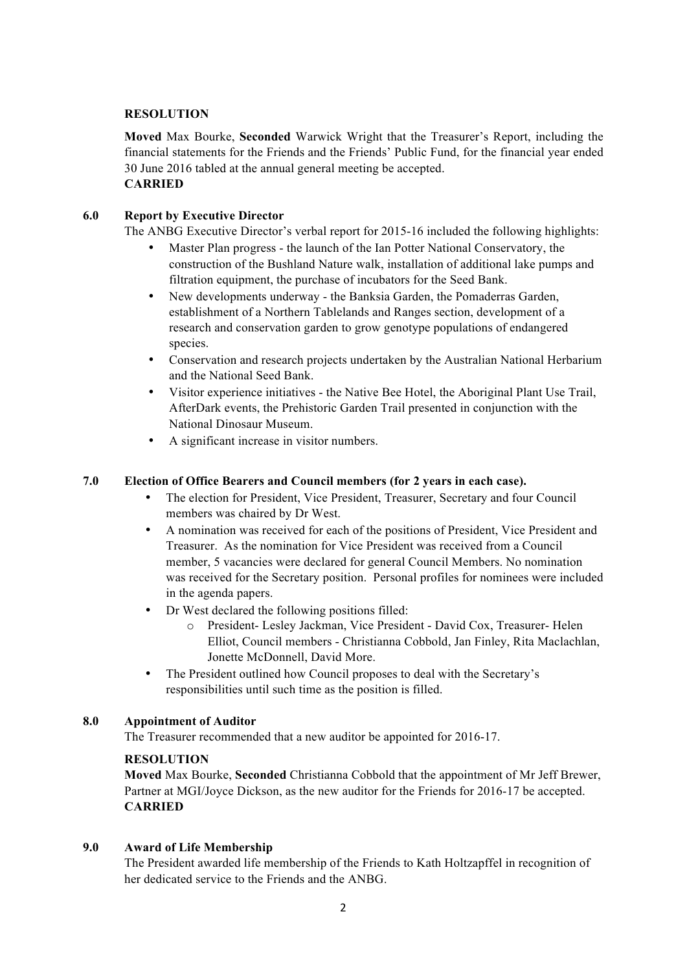### **RESOLUTION**

**Moved** Max Bourke, **Seconded** Warwick Wright that the Treasurer's Report, including the financial statements for the Friends and the Friends' Public Fund, for the financial year ended 30 June 2016 tabled at the annual general meeting be accepted. **CARRIED**

### **6.0 Report by Executive Director**

The ANBG Executive Director's verbal report for 2015-16 included the following highlights:

- Master Plan progress the launch of the Ian Potter National Conservatory, the construction of the Bushland Nature walk, installation of additional lake pumps and filtration equipment, the purchase of incubators for the Seed Bank.
- New developments underway the Banksia Garden, the Pomaderras Garden, establishment of a Northern Tablelands and Ranges section, development of a research and conservation garden to grow genotype populations of endangered species.
- Conservation and research projects undertaken by the Australian National Herbarium and the National Seed Bank.
- Visitor experience initiatives the Native Bee Hotel, the Aboriginal Plant Use Trail, AfterDark events, the Prehistoric Garden Trail presented in conjunction with the National Dinosaur Museum.
- A significant increase in visitor numbers.

#### **7.0 Election of Office Bearers and Council members (for 2 years in each case).**

- The election for President, Vice President, Treasurer, Secretary and four Council members was chaired by Dr West.
- A nomination was received for each of the positions of President, Vice President and Treasurer. As the nomination for Vice President was received from a Council member, 5 vacancies were declared for general Council Members. No nomination was received for the Secretary position. Personal profiles for nominees were included in the agenda papers.
- Dr West declared the following positions filled:
	- o President- Lesley Jackman, Vice President David Cox, Treasurer- Helen Elliot, Council members - Christianna Cobbold, Jan Finley, Rita Maclachlan, Jonette McDonnell, David More.
- The President outlined how Council proposes to deal with the Secretary's responsibilities until such time as the position is filled.

#### **8.0 Appointment of Auditor**

The Treasurer recommended that a new auditor be appointed for 2016-17.

#### **RESOLUTION**

**Moved** Max Bourke, **Seconded** Christianna Cobbold that the appointment of Mr Jeff Brewer, Partner at MGI/Joyce Dickson, as the new auditor for the Friends for 2016-17 be accepted. **CARRIED**

#### **9.0 Award of Life Membership**

The President awarded life membership of the Friends to Kath Holtzapffel in recognition of her dedicated service to the Friends and the ANBG.